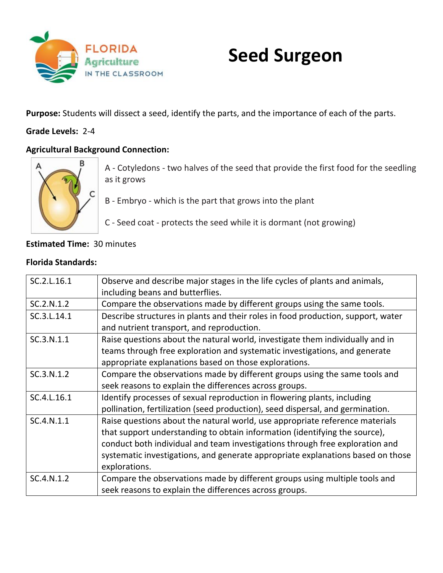

# **Seed Surgeon**

**Purpose:** Students will dissect a seed, identify the parts, and the importance of each of the parts.

## **Grade Levels:** 2-4

## **Agricultural Background Connection:**



A - Cotyledons - two halves of the seed that provide the first food for the seedling as it grows

B - Embryo - which is the part that grows into the plant

C - Seed coat - protects the seed while it is dormant (not growing)

## **Estimated Time:** 30 minutes

#### **Florida Standards:**

| SC.2.L.16.1 | Observe and describe major stages in the life cycles of plants and animals,<br>including beans and butterflies.                                                                                                                                                                                                                                |
|-------------|------------------------------------------------------------------------------------------------------------------------------------------------------------------------------------------------------------------------------------------------------------------------------------------------------------------------------------------------|
| SC.2.N.1.2  | Compare the observations made by different groups using the same tools.                                                                                                                                                                                                                                                                        |
| SC.3.L.14.1 | Describe structures in plants and their roles in food production, support, water<br>and nutrient transport, and reproduction.                                                                                                                                                                                                                  |
| SC.3.N.1.1  | Raise questions about the natural world, investigate them individually and in<br>teams through free exploration and systematic investigations, and generate<br>appropriate explanations based on those explorations.                                                                                                                           |
| SC.3.N.1.2  | Compare the observations made by different groups using the same tools and<br>seek reasons to explain the differences across groups.                                                                                                                                                                                                           |
| SC.4.L.16.1 | Identify processes of sexual reproduction in flowering plants, including<br>pollination, fertilization (seed production), seed dispersal, and germination.                                                                                                                                                                                     |
| SC.4.N.1.1  | Raise questions about the natural world, use appropriate reference materials<br>that support understanding to obtain information (identifying the source),<br>conduct both individual and team investigations through free exploration and<br>systematic investigations, and generate appropriate explanations based on those<br>explorations. |
| SC.4.N.1.2  | Compare the observations made by different groups using multiple tools and<br>seek reasons to explain the differences across groups.                                                                                                                                                                                                           |